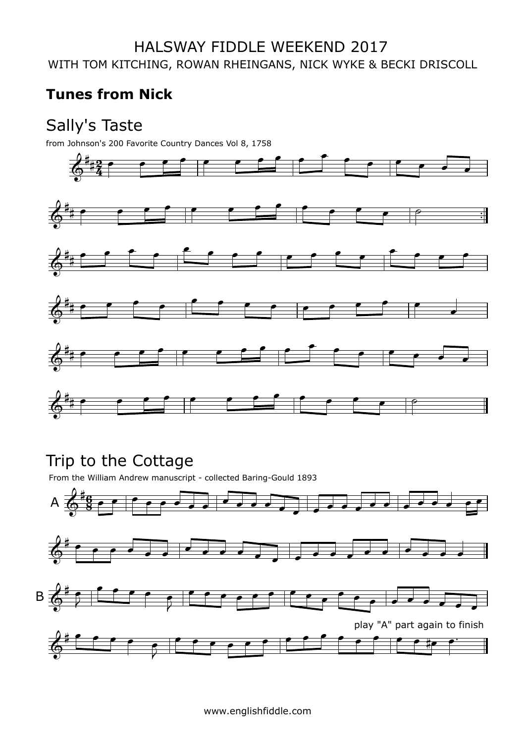## **Tunes from Nick**

## Sally's Taste

from Johnson's 200 Favorite Country Dances Vol 8, 1758



# Trip to the Cottage

From the William Andrew manuscript - collected Baring-Gould 1893

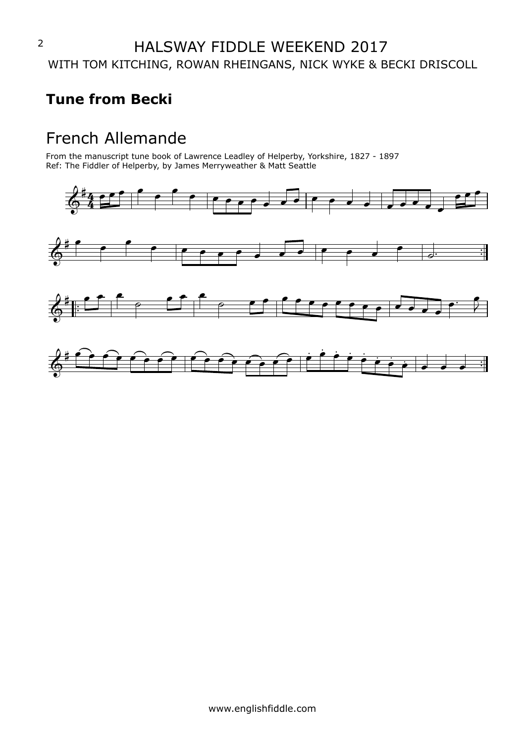#### **Tune from Becki**

## French Allemande

From the manuscript tune book of Lawrence Leadley of Helperby, Yorkshire, 1827 - 1897 Ref: The Fiddler of Helperby, by James Merryweather & Matt Seattle

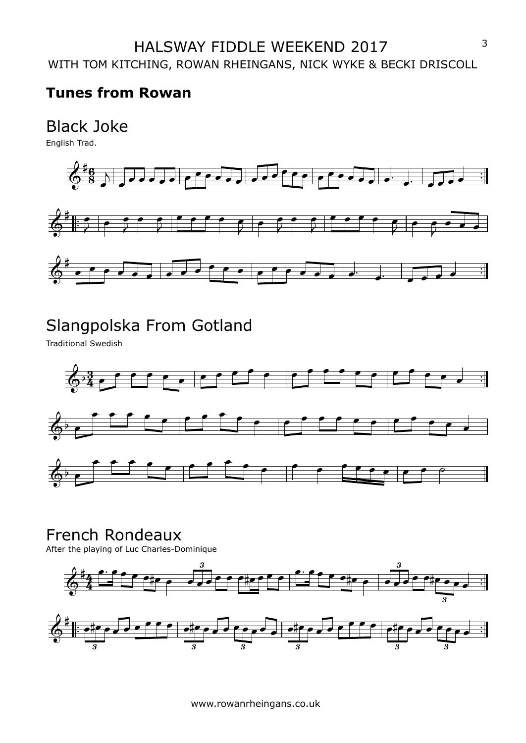#### **Tunes from Rowan**

# Black Joke<br>English Trad.



# Slangpolska From Gotland

Traditional Swedish



#### French Rondeaux

After the playing of Luc Charles-Dominique





www.rowanrheingans.co.uk